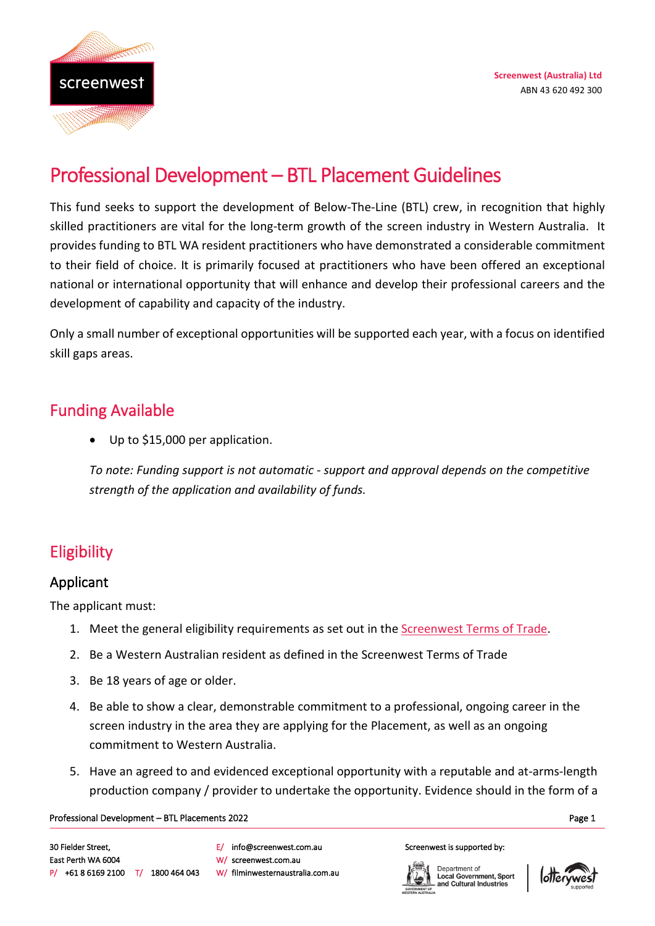

# Professional Development – BTL Placement Guidelines

This fund seeks to support the development of Below-The-Line (BTL) crew, in recognition that highly skilled practitioners are vital for the long-term growth of the screen industry in Western Australia. It provides funding to BTL WA resident practitioners who have demonstrated a considerable commitment to their field of choice. It is primarily focused at practitioners who have been offered an exceptional national or international opportunity that will enhance and develop their professional careers and the development of capability and capacity of the industry.

Only a small number of exceptional opportunities will be supported each year, with a focus on identified skill gaps areas.

### Funding Available

• Up to \$15,000 per application.

*To note: Funding support is not automatic - support and approval depends on the competitive strength of the application and availability of funds.* 

# Eligibility

#### Applicant

The applicant must:

- 1. Meet the general eligibility requirements as set out in the [Screenwest Terms of Trade.](https://www.screenwest.com.au/wp-content/uploads/2017/07/Screenwest-Australia-Ltd-Terms-of-Trade-from-20-December-2017.pdf)
- 2. Be a Western Australian resident as defined in the Screenwest Terms of Trade
- 3. Be 18 years of age or older.
- 4. Be able to show a clear, demonstrable commitment to a professional, ongoing career in the screen industry in the area they are applying for the Placement, as well as an ongoing commitment to Western Australia.
- 5. Have an agreed to and evidenced exceptional opportunity with a reputable and at-arms-length production company / provider to undertake the opportunity. Evidence should in the form of a

#### Professional Development – BTL Placements 2022 and the state of the state of the state of the state of the state of the state of the state of the state of the state of the state of the state of the state of the state of th

E/ info@screenwest.com.au W/ screenwest.com.au W/ filminwesternaustralia.com.au

#### Screenwest is supported by:



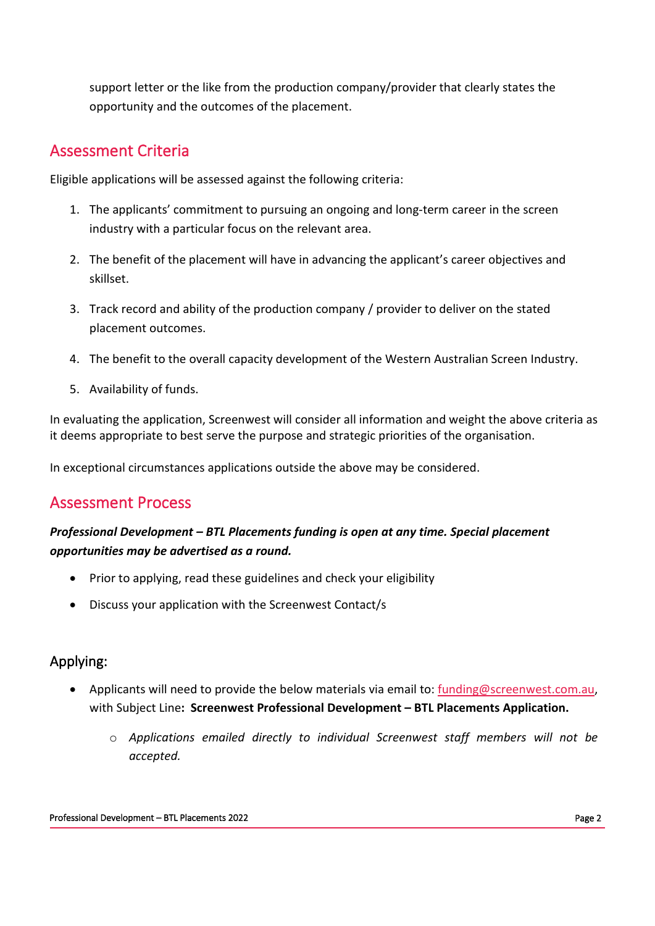support letter or the like from the production company/provider that clearly states the opportunity and the outcomes of the placement.

# Assessment Criteria

Eligible applications will be assessed against the following criteria:

- 1. The applicants' commitment to pursuing an ongoing and long-term career in the screen industry with a particular focus on the relevant area.
- 2. The benefit of the placement will have in advancing the applicant's career objectives and skillset.
- 3. Track record and ability of the production company / provider to deliver on the stated placement outcomes.
- 4. The benefit to the overall capacity development of the Western Australian Screen Industry.
- 5. Availability of funds.

In evaluating the application, Screenwest will consider all information and weight the above criteria as it deems appropriate to best serve the purpose and strategic priorities of the organisation.

In exceptional circumstances applications outside the above may be considered.

### Assessment Process

#### *Professional Development – BTL Placements funding is open at any time. Special placement opportunities may be advertised as a round.*

- Prior to applying, read these guidelines and check your eligibility
- Discuss your application with the Screenwest Contact/s

#### Applying:

- Applicants will need to provide the below materials via email to: [funding@screenwest.com.au,](mailto:funding@screenwest.com.au) with Subject Line**: Screenwest Professional Development – BTL Placements Application.**
	- o *Applications emailed directly to individual Screenwest staff members will not be accepted.*